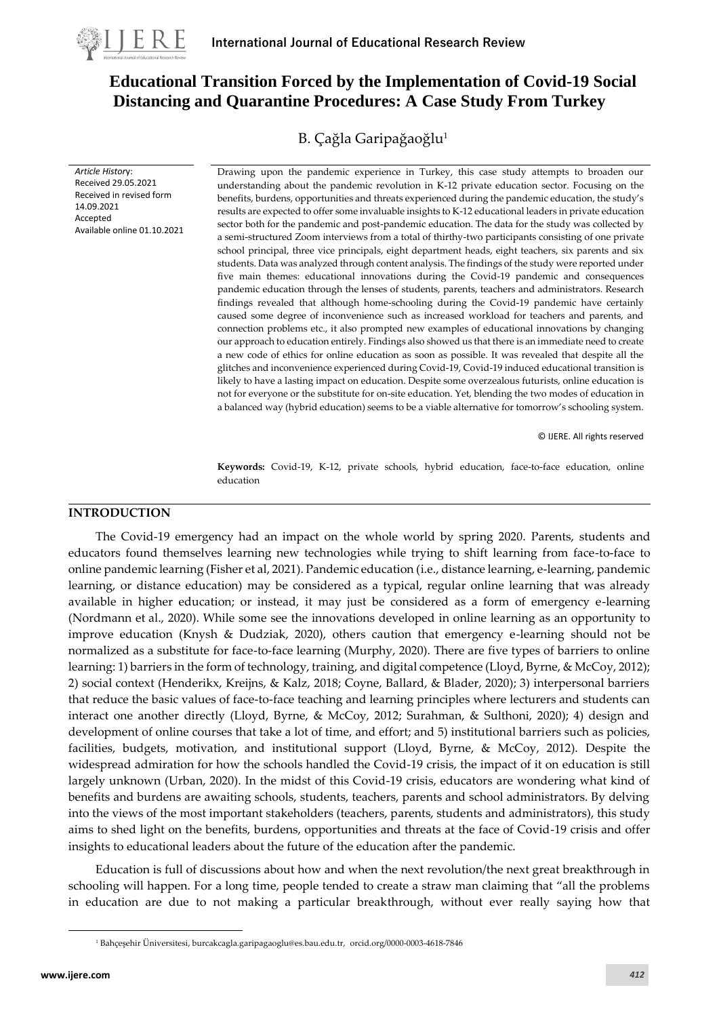

*Article Histor*y: Received 29.05.2021 Received in revised form

Available online 01.10.2021

14.09.2021 Accepted

# **Educational Transition Forced by the Implementation of Covid-19 Social Distancing and Quarantine Procedures: A Case Study From Turkey**

B. Çağla Garipağaoğlu<sup>1</sup>

Drawing upon the pandemic experience in Turkey, this case study attempts to broaden our understanding about the pandemic revolution in K-12 private education sector. Focusing on the benefits, burdens, opportunities and threats experienced during the pandemic education, the study's results are expected to offer some invaluable insights to K-12 educational leaders in private education sector both for the pandemic and post-pandemic education. The data for the study was collected by a semi-structured Zoom interviews from a total of thirthy-two participants consisting of one private school principal, three vice principals, eight department heads, eight teachers, six parents and six students. Data was analyzed through content analysis. The findings of the study were reported under five main themes: educational innovations during the Covid-19 pandemic and consequences pandemic education through the lenses of students, parents, teachers and administrators. Research findings revealed that although home-schooling during the Covid-19 pandemic have certainly caused some degree of inconvenience such as increased workload for teachers and parents, and connection problems etc., it also prompted new examples of educational innovations by changing our approach to education entirely. Findings also showed us that there is an immediate need to create a new code of ethics for online education as soon as possible. It was revealed that despite all the glitches and inconvenience experienced during Covid-19, Covid-19 induced educational transition is likely to have a lasting impact on education. Despite some overzealous futurists, online education is not for everyone or the substitute for on-site education. Yet, blending the two modes of education in a balanced way (hybrid education) seems to be a viable alternative for tomorrow's schooling system.

© IJERE. All rights reserved

**Keywords:** Covid-19, K-12, private schools, hybrid education, face-to-face education, online education

### **INTRODUCTION**

The Covid-19 emergency had an impact on the whole world by spring 2020. Parents, students and educators found themselves learning new technologies while trying to shift learning from face-to-face to online pandemic learning (Fisher et al, 2021). Pandemic education (i.e., distance learning, e-learning, pandemic learning, or distance education) may be considered as a typical, regular online learning that was already available in higher education; or instead, it may just be considered as a form of emergency e-learning (Nordmann et al., 2020). While some see the innovations developed in online learning as an opportunity to improve education (Knysh & Dudziak, 2020), others caution that emergency e-learning should not be normalized as a substitute for face-to-face learning (Murphy, 2020). There are five types of barriers to online learning: 1) barriers in the form of technology, training, and digital competence (Lloyd, Byrne, & McCoy, 2012); 2) social context (Henderikx, Kreijns, & Kalz, 2018; Coyne, Ballard, & Blader, 2020); 3) interpersonal barriers that reduce the basic values of face-to-face teaching and learning principles where lecturers and students can interact one another directly (Lloyd, Byrne, & McCoy, 2012; Surahman, & Sulthoni, 2020); 4) design and development of online courses that take a lot of time, and effort; and 5) institutional barriers such as policies, facilities, budgets, motivation, and institutional support (Lloyd, Byrne, & McCoy, 2012). Despite the widespread admiration for how the schools handled the Covid-19 crisis, the impact of it on education is still largely unknown (Urban, 2020). In the midst of this Covid-19 crisis, educators are wondering what kind of benefits and burdens are awaiting schools, students, teachers, parents and school administrators. By delving into the views of the most important stakeholders (teachers, parents, students and administrators), this study aims to shed light on the benefits, burdens, opportunities and threats at the face of Covid-19 crisis and offer insights to educational leaders about the future of the education after the pandemic.

Education is full of discussions about how and when the next revolution/the next great breakthrough in schooling will happen. For a long time, people tended to create a straw man claiming that "all the problems in education are due to not making a particular breakthrough, without ever really saying how that

<sup>1</sup> Bahçeşehir Üniversitesi, burcakcagla.garipagaoglu@es.bau.edu.tr, orcid.org/0000-0003-4618-7846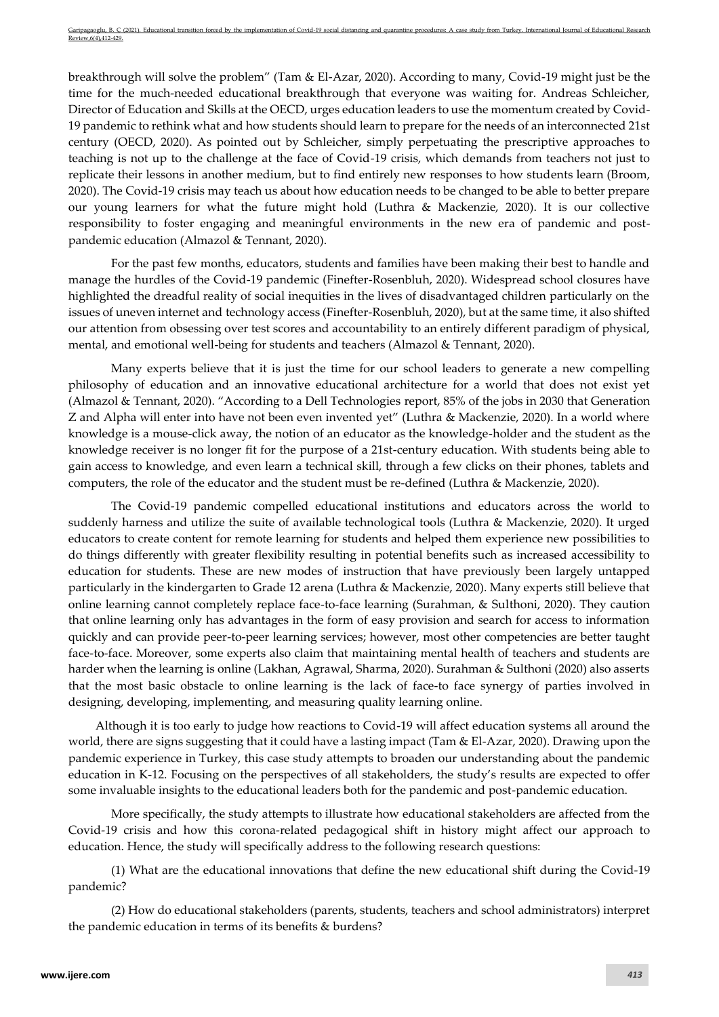breakthrough will solve the problem" (Tam & El-Azar, 2020). According to many, Covid-19 might just be the time for the much-needed educational breakthrough that everyone was waiting for. Andreas Schleicher, Director of Education and Skills at the OECD, urges education leaders to use the momentum created by Covid-19 pandemic to rethink what and how students should learn to prepare for the needs of an interconnected 21st century (OECD, 2020). As pointed out by Schleicher, simply perpetuating the prescriptive approaches to teaching is not up to the challenge at the face of Covid-19 crisis, which demands from teachers not just to replicate their lessons in another medium, but to find entirely new responses to how students learn (Broom, 2020). The Covid-19 crisis may teach us about how education needs to be changed to be able to better prepare our young learners for what the future might hold (Luthra & Mackenzie, 2020). It is our collective responsibility to foster engaging and meaningful environments in the new era of pandemic and postpandemic education (Almazol & Tennant, 2020).

For the past few months, educators, students and families have been making their best to handle and manage the hurdles of the Covid-19 pandemic (Finefter-Rosenbluh, 2020). Widespread school closures have highlighted the dreadful reality of social inequities in the lives of disadvantaged children particularly on the issues of uneven internet and technology access (Finefter-Rosenbluh, 2020), but at the same time, it also shifted our attention from obsessing over test scores and accountability to an entirely different paradigm of physical, mental, and emotional well-being for students and teachers (Almazol & Tennant, 2020).

Many experts believe that it is just the time for our school leaders to generate a new compelling philosophy of education and an innovative educational architecture for a world that does not exist yet (Almazol & Tennant, 2020). "According to a Dell Technologies report, 85% of the jobs in 2030 that Generation Z and Alpha will enter into have not been even invented yet" (Luthra & Mackenzie, 2020). In a world where knowledge is a mouse-click away, the notion of an educator as the knowledge-holder and the student as the knowledge receiver is no longer fit for the purpose of a 21st-century education. With students being able to gain access to knowledge, and even learn a technical skill, through a few clicks on their phones, tablets and computers, the role of the educator and the student must be re-defined (Luthra & Mackenzie, 2020).

The Covid-19 pandemic compelled educational institutions and educators across the world to suddenly harness and utilize the suite of available technological tools (Luthra & Mackenzie, 2020). It urged educators to create content for remote learning for students and helped them experience new possibilities to do things differently with greater flexibility resulting in potential benefits such as increased accessibility to education for students. These are new modes of instruction that have previously been largely untapped particularly in the kindergarten to Grade 12 arena (Luthra & Mackenzie, 2020). Many experts still believe that online learning cannot completely replace face-to-face learning (Surahman, & Sulthoni, 2020). They caution that online learning only has advantages in the form of easy provision and search for access to information quickly and can provide peer-to-peer learning services; however, most other competencies are better taught face-to-face. Moreover, some experts also claim that maintaining mental health of teachers and students are harder when the learning is online (Lakhan, Agrawal, Sharma, 2020). Surahman & Sulthoni (2020) also asserts that the most basic obstacle to online learning is the lack of face-to face synergy of parties involved in designing, developing, implementing, and measuring quality learning online.

Although it is too early to judge how reactions to Covid-19 will affect education systems all around the world, there are signs suggesting that it could have a lasting impact (Tam & El-Azar, 2020). Drawing upon the pandemic experience in Turkey, this case study attempts to broaden our understanding about the pandemic education in K-12. Focusing on the perspectives of all stakeholders, the study's results are expected to offer some invaluable insights to the educational leaders both for the pandemic and post-pandemic education.

More specifically, the study attempts to illustrate how educational stakeholders are affected from the Covid-19 crisis and how this corona-related pedagogical shift in history might affect our approach to education. Hence, the study will specifically address to the following research questions:

(1) What are the educational innovations that define the new educational shift during the Covid-19 pandemic?

(2) How do educational stakeholders (parents, students, teachers and school administrators) interpret the pandemic education in terms of its benefits & burdens?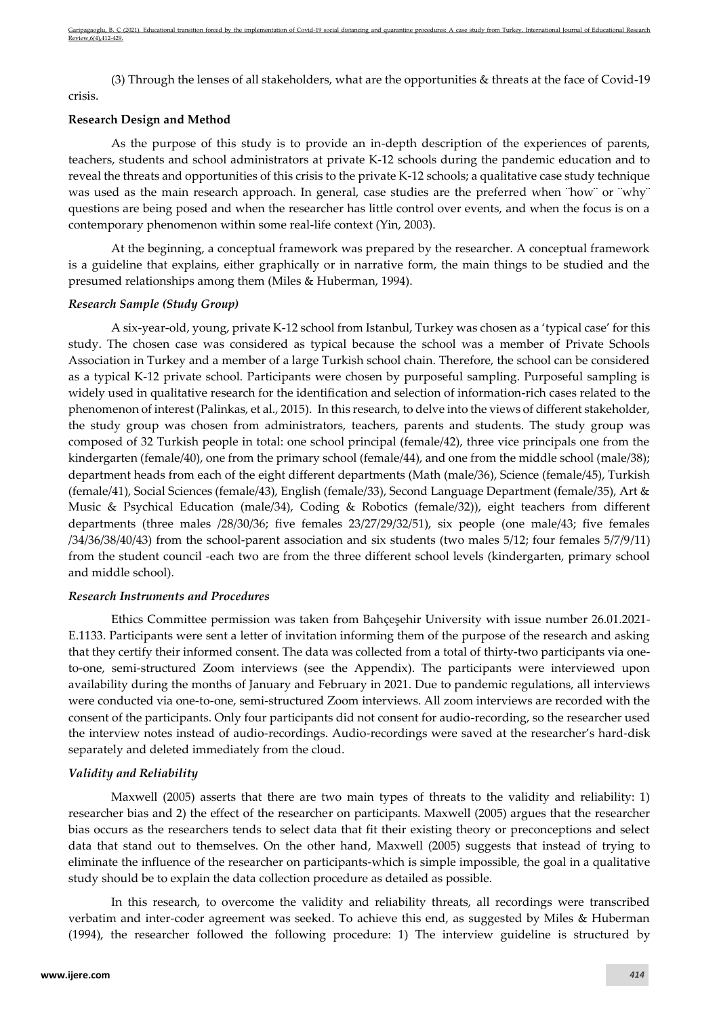(3) Through the lenses of all stakeholders, what are the opportunities & threats at the face of Covid-19 crisis.

## **Research Design and Method**

As the purpose of this study is to provide an in-depth description of the experiences of parents, teachers, students and school administrators at private K-12 schools during the pandemic education and to reveal the threats and opportunities of this crisis to the private K-12 schools; a qualitative case study technique was used as the main research approach. In general, case studies are the preferred when "how" or "why" questions are being posed and when the researcher has little control over events, and when the focus is on a contemporary phenomenon within some real-life context (Yin, 2003).

At the beginning, a conceptual framework was prepared by the researcher. A conceptual framework is a guideline that explains, either graphically or in narrative form, the main things to be studied and the presumed relationships among them (Miles & Huberman, 1994).

#### *Research Sample (Study Group)*

A six-year-old, young, private K-12 school from Istanbul, Turkey was chosen as a 'typical case' for this study. The chosen case was considered as typical because the school was a member of Private Schools Association in Turkey and a member of a large Turkish school chain. Therefore, the school can be considered as a typical K-12 private school. Participants were chosen by purposeful sampling. Purposeful sampling is widely used in qualitative research for the identification and selection of information-rich cases related to the phenomenon of interest (Palinkas, et al., 2015). In this research, to delve into the views of different stakeholder, the study group was chosen from administrators, teachers, parents and students. The study group was composed of 32 Turkish people in total: one school principal (female/42), three vice principals one from the kindergarten (female/40), one from the primary school (female/44), and one from the middle school (male/38); department heads from each of the eight different departments (Math (male/36), Science (female/45), Turkish (female/41), Social Sciences (female/43), English (female/33), Second Language Department (female/35), Art & Music & Psychical Education (male/34), Coding & Robotics (female/32)), eight teachers from different departments (three males /28/30/36; five females 23/27/29/32/51), six people (one male/43; five females /34/36/38/40/43) from the school-parent association and six students (two males 5/12; four females 5/7/9/11) from the student council -each two are from the three different school levels (kindergarten, primary school and middle school).

#### *Research Instruments and Procedures*

Ethics Committee permission was taken from Bahçeşehir University with issue number 26.01.2021- E.1133. Participants were sent a letter of invitation informing them of the purpose of the research and asking that they certify their informed consent. The data was collected from a total of thirty-two participants via oneto-one, semi-structured Zoom interviews (see the Appendix). The participants were interviewed upon availability during the months of January and February in 2021. Due to pandemic regulations, all interviews were conducted via one-to-one, semi-structured Zoom interviews. All zoom interviews are recorded with the consent of the participants. Only four participants did not consent for audio-recording, so the researcher used the interview notes instead of audio-recordings. Audio-recordings were saved at the researcher's hard-disk separately and deleted immediately from the cloud.

## *Validity and Reliability*

Maxwell (2005) asserts that there are two main types of threats to the validity and reliability: 1) researcher bias and 2) the effect of the researcher on participants. Maxwell (2005) argues that the researcher bias occurs as the researchers tends to select data that fit their existing theory or preconceptions and select data that stand out to themselves. On the other hand, Maxwell (2005) suggests that instead of trying to eliminate the influence of the researcher on participants-which is simple impossible, the goal in a qualitative study should be to explain the data collection procedure as detailed as possible.

In this research, to overcome the validity and reliability threats, all recordings were transcribed verbatim and inter-coder agreement was seeked. To achieve this end, as suggested by Miles & Huberman (1994), the researcher followed the following procedure: 1) The interview guideline is structured by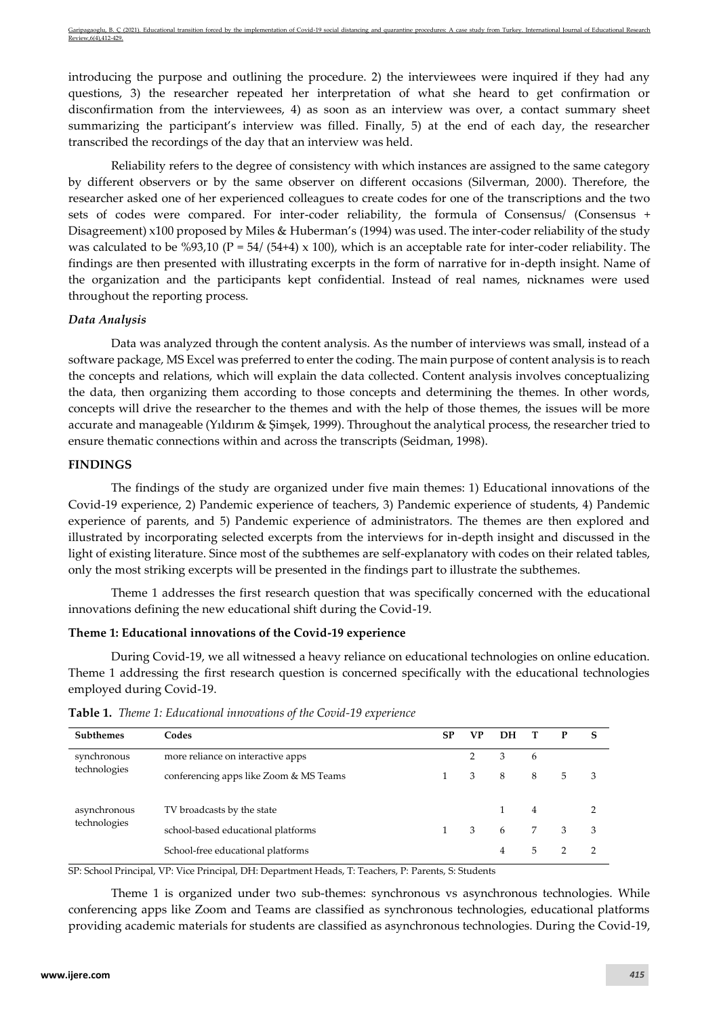introducing the purpose and outlining the procedure. 2) the interviewees were inquired if they had any questions, 3) the researcher repeated her interpretation of what she heard to get confirmation or disconfirmation from the interviewees, 4) as soon as an interview was over, a contact summary sheet summarizing the participant's interview was filled. Finally, 5) at the end of each day, the researcher transcribed the recordings of the day that an interview was held.

Reliability refers to the degree of consistency with which instances are assigned to the same category by different observers or by the same observer on different occasions (Silverman, 2000). Therefore, the researcher asked one of her experienced colleagues to create codes for one of the transcriptions and the two sets of codes were compared. For inter-coder reliability, the formula of Consensus/ (Consensus + Disagreement) x100 proposed by Miles & Huberman's (1994) was used. The inter-coder reliability of the study was calculated to be %93,10 ( $P = 54/ (54+4) \times 100$ ), which is an acceptable rate for inter-coder reliability. The findings are then presented with illustrating excerpts in the form of narrative for in-depth insight. Name of the organization and the participants kept confidential. Instead of real names, nicknames were used throughout the reporting process.

## *Data Analysis*

Data was analyzed through the content analysis. As the number of interviews was small, instead of a software package, MS Excel was preferred to enter the coding. The main purpose of content analysis is to reach the concepts and relations, which will explain the data collected. Content analysis involves conceptualizing the data, then organizing them according to those concepts and determining the themes. In other words, concepts will drive the researcher to the themes and with the help of those themes, the issues will be more accurate and manageable (Yıldırım & Şimşek, 1999). Throughout the analytical process, the researcher tried to ensure thematic connections within and across the transcripts (Seidman, 1998).

## **FINDINGS**

The findings of the study are organized under five main themes: 1) Educational innovations of the Covid-19 experience, 2) Pandemic experience of teachers, 3) Pandemic experience of students, 4) Pandemic experience of parents, and 5) Pandemic experience of administrators. The themes are then explored and illustrated by incorporating selected excerpts from the interviews for in-depth insight and discussed in the light of existing literature. Since most of the subthemes are self-explanatory with codes on their related tables, only the most striking excerpts will be presented in the findings part to illustrate the subthemes.

Theme 1 addresses the first research question that was specifically concerned with the educational innovations defining the new educational shift during the Covid-19.

## **Theme 1: Educational innovations of the Covid-19 experience**

During Covid-19, we all witnessed a heavy reliance on educational technologies on online education. Theme 1 addressing the first research question is concerned specifically with the educational technologies employed during Covid-19.

| <b>Subthemes</b>             | Codes                                  | <b>SP</b> | <b>VP</b> | DH |   | $\mathbf{P}$ | S |
|------------------------------|----------------------------------------|-----------|-----------|----|---|--------------|---|
| synchronous                  | more reliance on interactive apps      |           | 2         | 3  | 6 |              |   |
| technologies                 | conferencing apps like Zoom & MS Teams |           | 3         | -8 | 8 | 5            | 3 |
| asynchronous<br>technologies | TV broadcasts by the state             |           |           |    | 4 |              |   |
|                              | school-based educational platforms     |           | 3         | 6  | 7 | 3            | 3 |
|                              | School-free educational platforms      |           |           | 4  | 5 |              | 2 |

**Table 1.** *Theme 1: Educational innovations of the Covid-19 experience*

SP: School Principal, VP: Vice Principal, DH: Department Heads, T: Teachers, P: Parents, S: Students

Theme 1 is organized under two sub-themes: synchronous vs asynchronous technologies. While conferencing apps like Zoom and Teams are classified as synchronous technologies, educational platforms providing academic materials for students are classified as asynchronous technologies. During the Covid-19,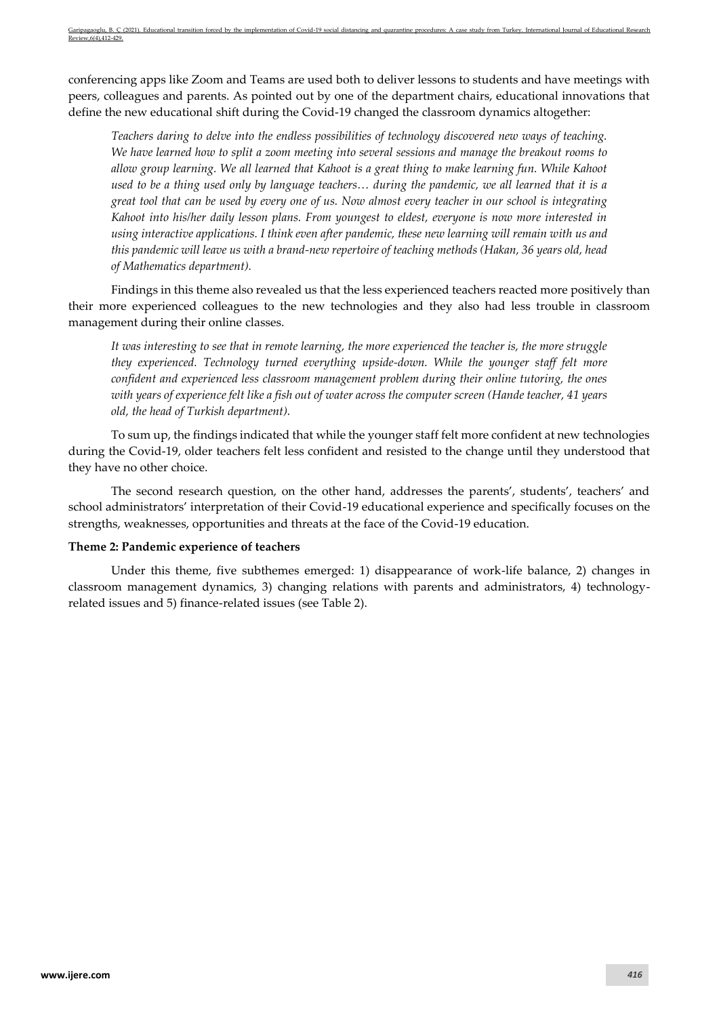conferencing apps like Zoom and Teams are used both to deliver lessons to students and have meetings with peers, colleagues and parents. As pointed out by one of the department chairs, educational innovations that define the new educational shift during the Covid-19 changed the classroom dynamics altogether:

*Teachers daring to delve into the endless possibilities of technology discovered new ways of teaching. We have learned how to split a zoom meeting into several sessions and manage the breakout rooms to allow group learning. We all learned that Kahoot is a great thing to make learning fun. While Kahoot used to be a thing used only by language teachers… during the pandemic, we all learned that it is a great tool that can be used by every one of us. Now almost every teacher in our school is integrating Kahoot into his/her daily lesson plans. From youngest to eldest, everyone is now more interested in using interactive applications. I think even after pandemic, these new learning will remain with us and this pandemic will leave us with a brand-new repertoire of teaching methods (Hakan, 36 years old, head of Mathematics department).*

Findings in this theme also revealed us that the less experienced teachers reacted more positively than their more experienced colleagues to the new technologies and they also had less trouble in classroom management during their online classes.

*It was interesting to see that in remote learning, the more experienced the teacher is, the more struggle they experienced. Technology turned everything upside-down. While the younger staff felt more confident and experienced less classroom management problem during their online tutoring, the ones with years of experience felt like a fish out of water across the computer screen (Hande teacher, 41 years old, the head of Turkish department).* 

To sum up, the findings indicated that while the younger staff felt more confident at new technologies during the Covid-19, older teachers felt less confident and resisted to the change until they understood that they have no other choice.

The second research question, on the other hand, addresses the parents', students', teachers' and school administrators' interpretation of their Covid-19 educational experience and specifically focuses on the strengths, weaknesses, opportunities and threats at the face of the Covid-19 education.

## **Theme 2: Pandemic experience of teachers**

Under this theme, five subthemes emerged: 1) disappearance of work-life balance, 2) changes in classroom management dynamics, 3) changing relations with parents and administrators, 4) technologyrelated issues and 5) finance-related issues (see Table 2).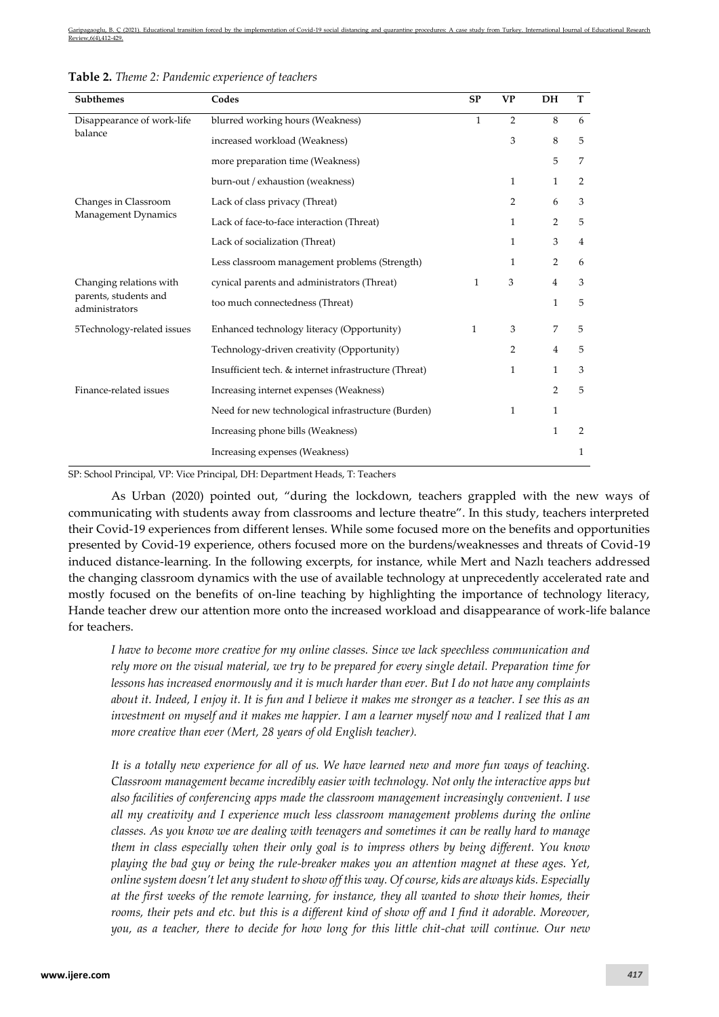| Subthemes                               | Codes                                                 | <b>SP</b>    | <b>VP</b>      | DH             | T              |
|-----------------------------------------|-------------------------------------------------------|--------------|----------------|----------------|----------------|
| Disappearance of work-life              | blurred working hours (Weakness)                      | $\mathbf{1}$ | $\overline{2}$ | 8              | 6              |
| balance                                 | increased workload (Weakness)                         |              | 3              | 8              | 5              |
|                                         | more preparation time (Weakness)                      |              |                | 5              | 7              |
|                                         | burn-out / exhaustion (weakness)                      |              | $\mathbf{1}$   | 1              | 2              |
| Changes in Classroom                    | Lack of class privacy (Threat)                        |              | $\overline{2}$ | 6              | 3              |
| Management Dynamics                     | Lack of face-to-face interaction (Threat)             |              | $\mathbf{1}$   | 2              | 5              |
|                                         | Lack of socialization (Threat)                        |              | $\mathbf{1}$   | 3              | $\overline{4}$ |
|                                         | Less classroom management problems (Strength)         |              | 1              | $\overline{2}$ | 6              |
| Changing relations with                 | cynical parents and administrators (Threat)           | 1            | 3              | $\overline{4}$ | 3              |
| parents, students and<br>administrators | too much connectedness (Threat)                       |              |                | 1              | 5              |
| 5Technology-related issues              | Enhanced technology literacy (Opportunity)            | 1            | 3              | 7              | 5              |
|                                         | Technology-driven creativity (Opportunity)            |              | $\overline{2}$ | 4              | 5              |
|                                         | Insufficient tech. & internet infrastructure (Threat) |              | $\mathbf{1}$   | $\mathbf{1}$   | 3              |
| Finance-related issues                  | Increasing internet expenses (Weakness)               |              |                | $\overline{2}$ | 5              |
|                                         | Need for new technological infrastructure (Burden)    |              | $\mathbf{1}$   | 1              |                |
|                                         | Increasing phone bills (Weakness)                     |              |                | $\mathbf{1}$   | 2              |
|                                         | Increasing expenses (Weakness)                        |              |                |                | 1              |

SP: School Principal, VP: Vice Principal, DH: Department Heads, T: Teachers

As Urban (2020) pointed out, "during the lockdown, teachers grappled with the new ways of communicating with students away from classrooms and lecture theatre". In this study, teachers interpreted their Covid-19 experiences from different lenses. While some focused more on the benefits and opportunities presented by Covid-19 experience, others focused more on the burdens/weaknesses and threats of Covid-19 induced distance-learning. In the following excerpts, for instance, while Mert and Nazlı teachers addressed the changing classroom dynamics with the use of available technology at unprecedently accelerated rate and mostly focused on the benefits of on-line teaching by highlighting the importance of technology literacy, Hande teacher drew our attention more onto the increased workload and disappearance of work-life balance for teachers.

*I have to become more creative for my online classes. Since we lack speechless communication and rely more on the visual material, we try to be prepared for every single detail. Preparation time for lessons has increased enormously and it is much harder than ever. But I do not have any complaints about it. Indeed, I enjoy it. It is fun and I believe it makes me stronger as a teacher. I see this as an investment on myself and it makes me happier. I am a learner myself now and I realized that I am more creative than ever (Mert, 28 years of old English teacher).*

*It is a totally new experience for all of us. We have learned new and more fun ways of teaching. Classroom management became incredibly easier with technology. Not only the interactive apps but also facilities of conferencing apps made the classroom management increasingly convenient. I use all my creativity and I experience much less classroom management problems during the online classes. As you know we are dealing with teenagers and sometimes it can be really hard to manage them in class especially when their only goal is to impress others by being different. You know playing the bad guy or being the rule-breaker makes you an attention magnet at these ages. Yet, online system doesn't let any student to show off this way. Of course, kids are always kids. Especially at the first weeks of the remote learning, for instance, they all wanted to show their homes, their rooms, their pets and etc. but this is a different kind of show off and I find it adorable. Moreover, you, as a teacher, there to decide for how long for this little chit-chat will continue. Our new*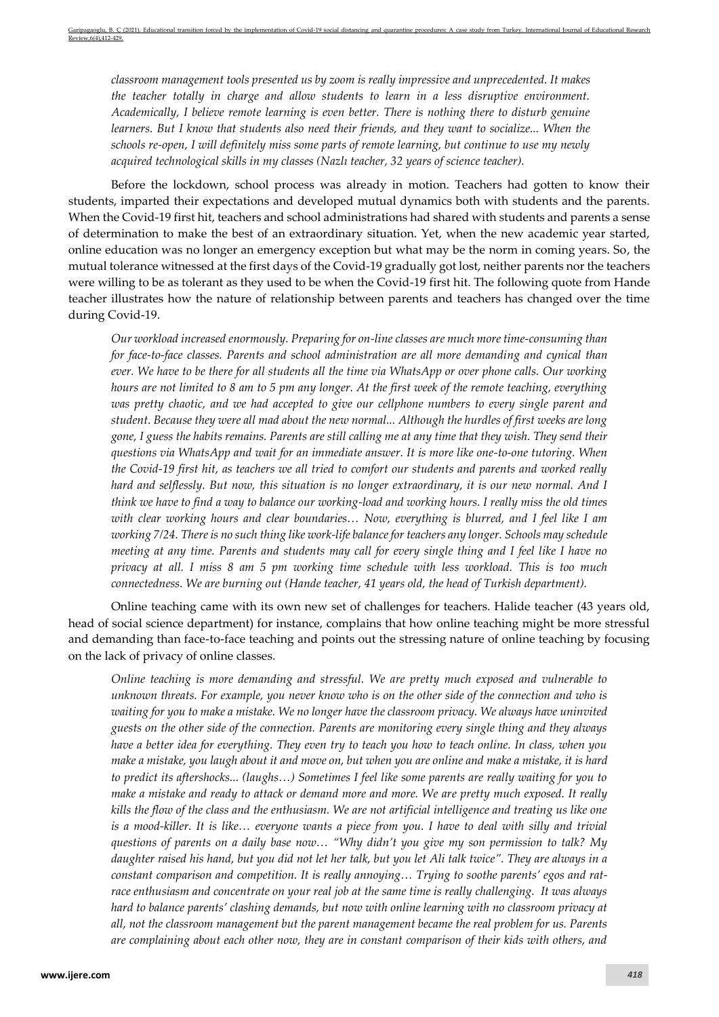*classroom management tools presented us by zoom is really impressive and unprecedented. It makes the teacher totally in charge and allow students to learn in a less disruptive environment. Academically, I believe remote learning is even better. There is nothing there to disturb genuine learners. But I know that students also need their friends, and they want to socialize... When the schools re-open, I will definitely miss some parts of remote learning, but continue to use my newly acquired technological skills in my classes (Nazlı teacher, 32 years of science teacher).*

Before the lockdown, school process was already in motion. Teachers had gotten to know their students, imparted their expectations and developed mutual dynamics both with students and the parents. When the Covid-19 first hit, teachers and school administrations had shared with students and parents a sense of determination to make the best of an extraordinary situation. Yet, when the new academic year started, online education was no longer an emergency exception but what may be the norm in coming years. So, the mutual tolerance witnessed at the first days of the Covid-19 gradually got lost, neither parents nor the teachers were willing to be as tolerant as they used to be when the Covid-19 first hit. The following quote from Hande teacher illustrates how the nature of relationship between parents and teachers has changed over the time during Covid-19.

*Our workload increased enormously. Preparing for on-line classes are much more time-consuming than for face-to-face classes. Parents and school administration are all more demanding and cynical than ever. We have to be there for all students all the time via WhatsApp or over phone calls. Our working hours are not limited to 8 am to 5 pm any longer. At the first week of the remote teaching, everything was pretty chaotic, and we had accepted to give our cellphone numbers to every single parent and student. Because they were all mad about the new normal... Although the hurdles of first weeks are long gone, I guess the habits remains. Parents are still calling me at any time that they wish. They send their questions via WhatsApp and wait for an immediate answer. It is more like one-to-one tutoring. When the Covid-19 first hit, as teachers we all tried to comfort our students and parents and worked really hard and selflessly. But now, this situation is no longer extraordinary, it is our new normal. And I think we have to find a way to balance our working-load and working hours. I really miss the old times with clear working hours and clear boundaries... Now, everything is blurred, and I feel like I am working 7/24. There is no such thing like work-life balance for teachers any longer. Schools may schedule meeting at any time. Parents and students may call for every single thing and I feel like I have no privacy at all. I miss 8 am 5 pm working time schedule with less workload. This is too much connectedness. We are burning out (Hande teacher, 41 years old, the head of Turkish department).*

Online teaching came with its own new set of challenges for teachers. Halide teacher (43 years old, head of social science department) for instance, complains that how online teaching might be more stressful and demanding than face-to-face teaching and points out the stressing nature of online teaching by focusing on the lack of privacy of online classes.

*Online teaching is more demanding and stressful. We are pretty much exposed and vulnerable to unknown threats. For example, you never know who is on the other side of the connection and who is waiting for you to make a mistake. We no longer have the classroom privacy. We always have uninvited guests on the other side of the connection. Parents are monitoring every single thing and they always have a better idea for everything. They even try to teach you how to teach online. In class, when you make a mistake, you laugh about it and move on, but when you are online and make a mistake, it is hard to predict its aftershocks... (laughs…) Sometimes I feel like some parents are really waiting for you to make a mistake and ready to attack or demand more and more. We are pretty much exposed. It really kills the flow of the class and the enthusiasm. We are not artificial intelligence and treating us like one is a mood-killer. It is like… everyone wants a piece from you. I have to deal with silly and trivial questions of parents on a daily base now… "Why didn't you give my son permission to talk? My daughter raised his hand, but you did not let her talk, but you let Ali talk twice". They are always in a constant comparison and competition. It is really annoying… Trying to soothe parents' egos and ratrace enthusiasm and concentrate on your real job at the same time is really challenging. It was always hard to balance parents' clashing demands, but now with online learning with no classroom privacy at all, not the classroom management but the parent management became the real problem for us. Parents are complaining about each other now, they are in constant comparison of their kids with others, and*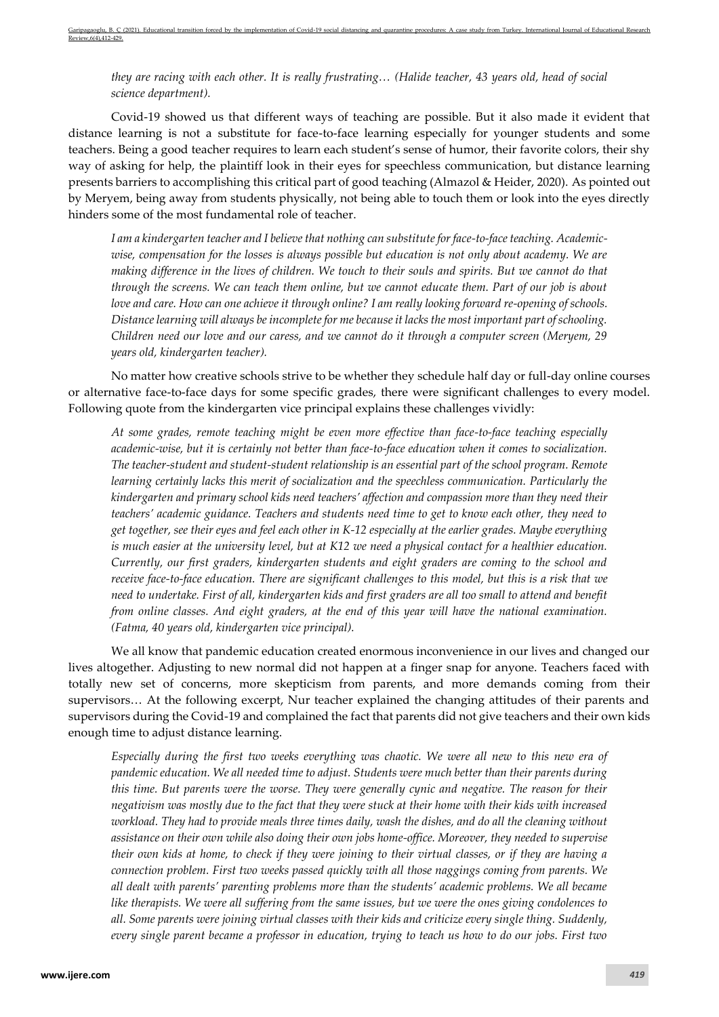*they are racing with each other. It is really frustrating… (Halide teacher, 43 years old, head of social science department).*

Covid-19 showed us that different ways of teaching are possible. But it also made it evident that distance learning is not a substitute for face-to-face learning especially for younger students and some teachers. Being a good teacher requires to learn each student's sense of humor, their favorite colors, their shy way of asking for help, the plaintiff look in their eyes for speechless communication, but distance learning presents barriers to accomplishing this critical part of good teaching (Almazol & Heider, 2020). As pointed out by Meryem, being away from students physically, not being able to touch them or look into the eyes directly hinders some of the most fundamental role of teacher.

*I am a kindergarten teacher and I believe that nothing can substitute for face-to-face teaching. Academicwise, compensation for the losses is always possible but education is not only about academy. We are making difference in the lives of children. We touch to their souls and spirits. But we cannot do that through the screens. We can teach them online, but we cannot educate them. Part of our job is about love and care. How can one achieve it through online? I am really looking forward re-opening of schools. Distance learning will always be incomplete for me because it lacks the most important part of schooling. Children need our love and our caress, and we cannot do it through a computer screen (Meryem, 29 years old, kindergarten teacher).*

No matter how creative schools strive to be whether they schedule half day or full-day online courses or alternative face-to-face days for some specific grades, there were significant challenges to every model. Following quote from the kindergarten vice principal explains these challenges vividly:

*At some grades, remote teaching might be even more effective than face-to-face teaching especially academic-wise, but it is certainly not better than face-to-face education when it comes to socialization. The teacher-student and student-student relationship is an essential part of the school program. Remote learning certainly lacks this merit of socialization and the speechless communication. Particularly the kindergarten and primary school kids need teachers' affection and compassion more than they need their teachers' academic guidance. Teachers and students need time to get to know each other, they need to get together, see their eyes and feel each other in K-12 especially at the earlier grades. Maybe everything is much easier at the university level, but at K12 we need a physical contact for a healthier education. Currently, our first graders, kindergarten students and eight graders are coming to the school and receive face-to-face education. There are significant challenges to this model, but this is a risk that we need to undertake. First of all, kindergarten kids and first graders are all too small to attend and benefit from online classes. And eight graders, at the end of this year will have the national examination. (Fatma, 40 years old, kindergarten vice principal).* 

We all know that pandemic education created enormous inconvenience in our lives and changed our lives altogether. Adjusting to new normal did not happen at a finger snap for anyone. Teachers faced with totally new set of concerns, more skepticism from parents, and more demands coming from their supervisors… At the following excerpt, Nur teacher explained the changing attitudes of their parents and supervisors during the Covid-19 and complained the fact that parents did not give teachers and their own kids enough time to adjust distance learning.

*Especially during the first two weeks everything was chaotic. We were all new to this new era of pandemic education. We all needed time to adjust. Students were much better than their parents during this time. But parents were the worse. They were generally cynic and negative. The reason for their negativism was mostly due to the fact that they were stuck at their home with their kids with increased workload. They had to provide meals three times daily, wash the dishes, and do all the cleaning without assistance on their own while also doing their own jobs home-office. Moreover, they needed to supervise their own kids at home, to check if they were joining to their virtual classes, or if they are having a connection problem. First two weeks passed quickly with all those naggings coming from parents. We all dealt with parents' parenting problems more than the students' academic problems. We all became like therapists. We were all suffering from the same issues, but we were the ones giving condolences to all. Some parents were joining virtual classes with their kids and criticize every single thing. Suddenly, every single parent became a professor in education, trying to teach us how to do our jobs. First two*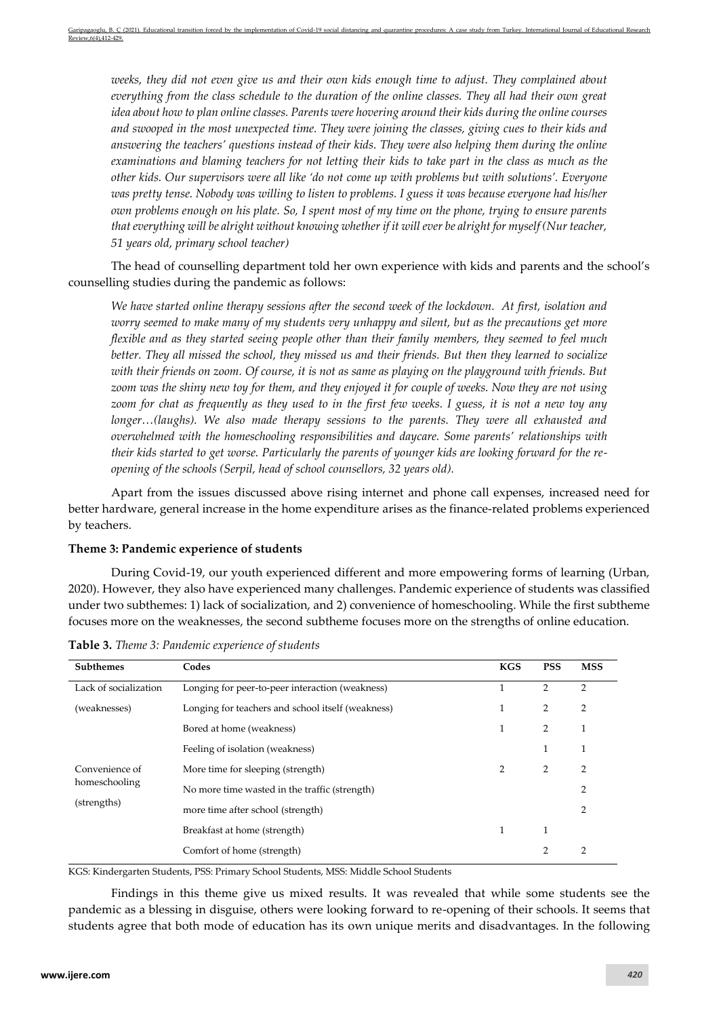*weeks, they did not even give us and their own kids enough time to adjust. They complained about everything from the class schedule to the duration of the online classes. They all had their own great idea about how to plan online classes. Parents were hovering around their kids during the online courses and swooped in the most unexpected time. They were joining the classes, giving cues to their kids and answering the teachers' questions instead of their kids. They were also helping them during the online examinations and blaming teachers for not letting their kids to take part in the class as much as the other kids. Our supervisors were all like 'do not come up with problems but with solutions'. Everyone was pretty tense. Nobody was willing to listen to problems. I guess it was because everyone had his/her own problems enough on his plate. So, I spent most of my time on the phone, trying to ensure parents that everything will be alright without knowing whether if it will ever be alright for myself (Nur teacher, 51 years old, primary school teacher)*

The head of counselling department told her own experience with kids and parents and the school's counselling studies during the pandemic as follows:

*We have started online therapy sessions after the second week of the lockdown. At first, isolation and worry seemed to make many of my students very unhappy and silent, but as the precautions get more flexible and as they started seeing people other than their family members, they seemed to feel much better. They all missed the school, they missed us and their friends. But then they learned to socialize with their friends on zoom. Of course, it is not as same as playing on the playground with friends. But zoom was the shiny new toy for them, and they enjoyed it for couple of weeks. Now they are not using zoom for chat as frequently as they used to in the first few weeks. I guess, it is not a new toy any longer…(laughs). We also made therapy sessions to the parents. They were all exhausted and overwhelmed with the homeschooling responsibilities and daycare. Some parents' relationships with their kids started to get worse. Particularly the parents of younger kids are looking forward for the reopening of the schools (Serpil, head of school counsellors, 32 years old).*

Apart from the issues discussed above rising internet and phone call expenses, increased need for better hardware, general increase in the home expenditure arises as the finance-related problems experienced by teachers.

#### **Theme 3: Pandemic experience of students**

During Covid-19, our youth experienced different and more empowering forms of learning (Urban, 2020). However, they also have experienced many challenges. Pandemic experience of students was classified under two subthemes: 1) lack of socialization, and 2) convenience of homeschooling. While the first subtheme focuses more on the weaknesses, the second subtheme focuses more on the strengths of online education.

| Subthemes             | Codes                                             | <b>KGS</b> | <b>PSS</b>     | <b>MSS</b>     |
|-----------------------|---------------------------------------------------|------------|----------------|----------------|
| Lack of socialization | Longing for peer-to-peer interaction (weakness)   |            | 2              | 2              |
| (weaknesses)          | Longing for teachers and school itself (weakness) |            | 2              | $\overline{2}$ |
|                       | Bored at home (weakness)                          |            | 2              | 1              |
|                       | Feeling of isolation (weakness)                   |            |                | 1              |
| Convenience of        | More time for sleeping (strength)                 | 2          | 2              | 2              |
| homeschooling         | No more time wasted in the traffic (strength)     |            |                | $\overline{2}$ |
| (strengths)           | more time after school (strength)                 |            |                | $\overline{2}$ |
|                       | Breakfast at home (strength)                      |            |                |                |
|                       | Comfort of home (strength)                        |            | $\overline{2}$ | $\overline{2}$ |

**Table 3.** *Theme 3: Pandemic experience of students*

KGS: Kindergarten Students, PSS: Primary School Students, MSS: Middle School Students

Findings in this theme give us mixed results. It was revealed that while some students see the pandemic as a blessing in disguise, others were looking forward to re-opening of their schools. It seems that students agree that both mode of education has its own unique merits and disadvantages. In the following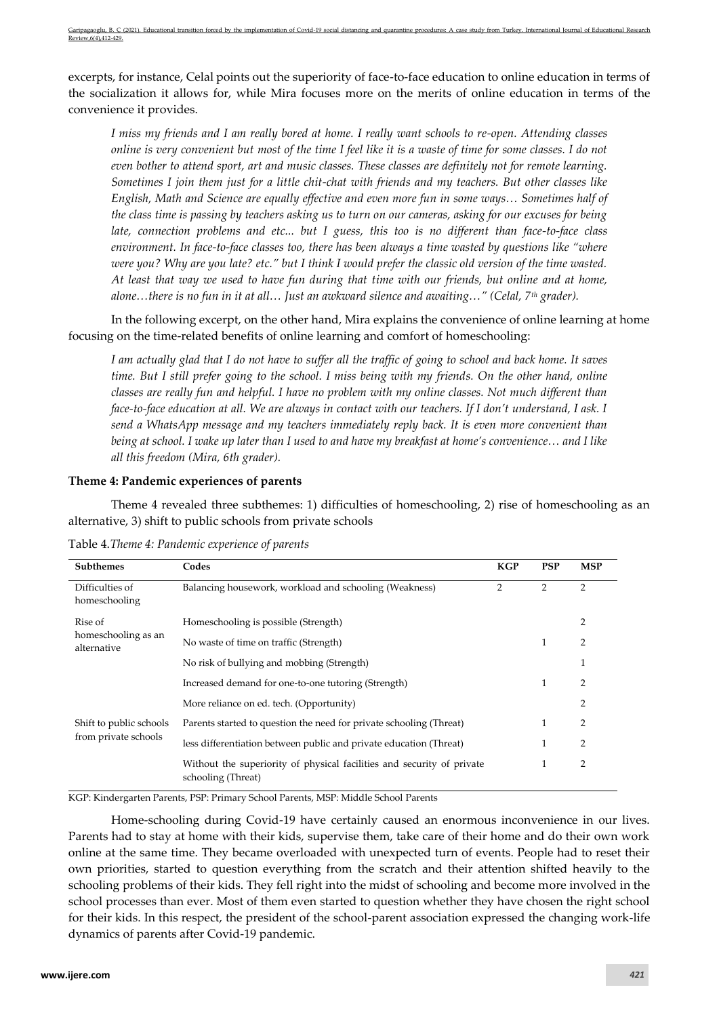excerpts, for instance, Celal points out the superiority of face-to-face education to online education in terms of the socialization it allows for, while Mira focuses more on the merits of online education in terms of the convenience it provides.

*I miss my friends and I am really bored at home. I really want schools to re-open. Attending classes online is very convenient but most of the time I feel like it is a waste of time for some classes. I do not even bother to attend sport, art and music classes. These classes are definitely not for remote learning. Sometimes I join them just for a little chit-chat with friends and my teachers. But other classes like English, Math and Science are equally effective and even more fun in some ways… Sometimes half of the class time is passing by teachers asking us to turn on our cameras, asking for our excuses for being late, connection problems and etc... but I guess, this too is no different than face-to-face class environment. In face-to-face classes too, there has been always a time wasted by questions like "where were you? Why are you late? etc." but I think I would prefer the classic old version of the time wasted. At least that way we used to have fun during that time with our friends, but online and at home, alone…there is no fun in it at all… Just an awkward silence and awaiting…" (Celal, 7th grader).*

In the following excerpt, on the other hand, Mira explains the convenience of online learning at home focusing on the time-related benefits of online learning and comfort of homeschooling:

*I am actually glad that I do not have to suffer all the traffic of going to school and back home. It saves time. But I still prefer going to the school. I miss being with my friends. On the other hand, online classes are really fun and helpful. I have no problem with my online classes. Not much different than face-to-face education at all. We are always in contact with our teachers. If I don't understand, I ask. I send a WhatsApp message and my teachers immediately reply back. It is even more convenient than being at school. I wake up later than I used to and have my breakfast at home's convenience… and I like all this freedom (Mira, 6th grader).*

#### **Theme 4: Pandemic experiences of parents**

Theme 4 revealed three subthemes: 1) difficulties of homeschooling, 2) rise of homeschooling as an alternative, 3) shift to public schools from private schools

| <b>Subthemes</b>                   | Codes                                                                                        | <b>KGP</b>     | <b>PSP</b>     | <b>MSP</b>     |
|------------------------------------|----------------------------------------------------------------------------------------------|----------------|----------------|----------------|
| Difficulties of<br>homeschooling   | Balancing housework, workload and schooling (Weakness)                                       | $\overline{2}$ | $\overline{2}$ | $\overline{2}$ |
| Rise of                            | Homeschooling is possible (Strength)                                                         |                |                | 2              |
| homeschooling as an<br>alternative | No waste of time on traffic (Strength)                                                       |                | 1              | 2              |
|                                    | No risk of bullying and mobbing (Strength)                                                   |                |                |                |
|                                    | Increased demand for one-to-one tutoring (Strength)                                          |                | 1              | $\overline{2}$ |
|                                    | More reliance on ed. tech. (Opportunity)                                                     |                |                | 2              |
| Shift to public schools            | Parents started to question the need for private schooling (Threat)                          |                | 1              | $\overline{2}$ |
| from private schools               | less differentiation between public and private education (Threat)                           |                |                | $\overline{2}$ |
|                                    | Without the superiority of physical facilities and security of private<br>schooling (Threat) |                |                | 2              |

Table 4.*Theme 4: Pandemic experience of parents*

KGP: Kindergarten Parents, PSP: Primary School Parents, MSP: Middle School Parents

Home-schooling during Covid-19 have certainly caused an enormous inconvenience in our lives. Parents had to stay at home with their kids, supervise them, take care of their home and do their own work online at the same time. They became overloaded with unexpected turn of events. People had to reset their own priorities, started to question everything from the scratch and their attention shifted heavily to the schooling problems of their kids. They fell right into the midst of schooling and become more involved in the school processes than ever. Most of them even started to question whether they have chosen the right school for their kids. In this respect, the president of the school-parent association expressed the changing work-life dynamics of parents after Covid-19 pandemic.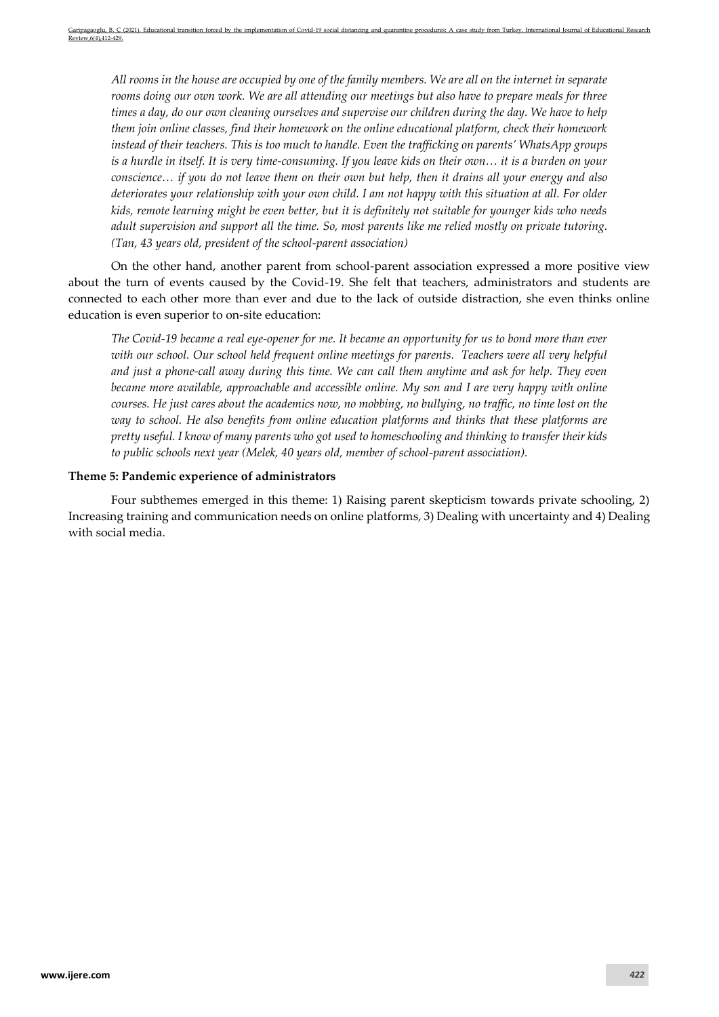*All rooms in the house are occupied by one of the family members. We are all on the internet in separate rooms doing our own work. We are all attending our meetings but also have to prepare meals for three times a day, do our own cleaning ourselves and supervise our children during the day. We have to help them join online classes, find their homework on the online educational platform, check their homework instead of their teachers. This is too much to handle. Even the trafficking on parents' WhatsApp groups is a hurdle in itself. It is very time-consuming. If you leave kids on their own… it is a burden on your conscience… if you do not leave them on their own but help, then it drains all your energy and also deteriorates your relationship with your own child. I am not happy with this situation at all. For older kids, remote learning might be even better, but it is definitely not suitable for younger kids who needs adult supervision and support all the time. So, most parents like me relied mostly on private tutoring. (Tan, 43 years old, president of the school-parent association)*

On the other hand, another parent from school-parent association expressed a more positive view about the turn of events caused by the Covid-19. She felt that teachers, administrators and students are connected to each other more than ever and due to the lack of outside distraction, she even thinks online education is even superior to on-site education:

*The Covid-19 became a real eye-opener for me. It became an opportunity for us to bond more than ever with our school. Our school held frequent online meetings for parents. Teachers were all very helpful and just a phone-call away during this time. We can call them anytime and ask for help. They even became more available, approachable and accessible online. My son and I are very happy with online courses. He just cares about the academics now, no mobbing, no bullying, no traffic, no time lost on the way to school. He also benefits from online education platforms and thinks that these platforms are pretty useful. I know of many parents who got used to homeschooling and thinking to transfer their kids to public schools next year (Melek, 40 years old, member of school-parent association).* 

## **Theme 5: Pandemic experience of administrators**

Four subthemes emerged in this theme: 1) Raising parent skepticism towards private schooling, 2) Increasing training and communication needs on online platforms, 3) Dealing with uncertainty and 4) Dealing with social media.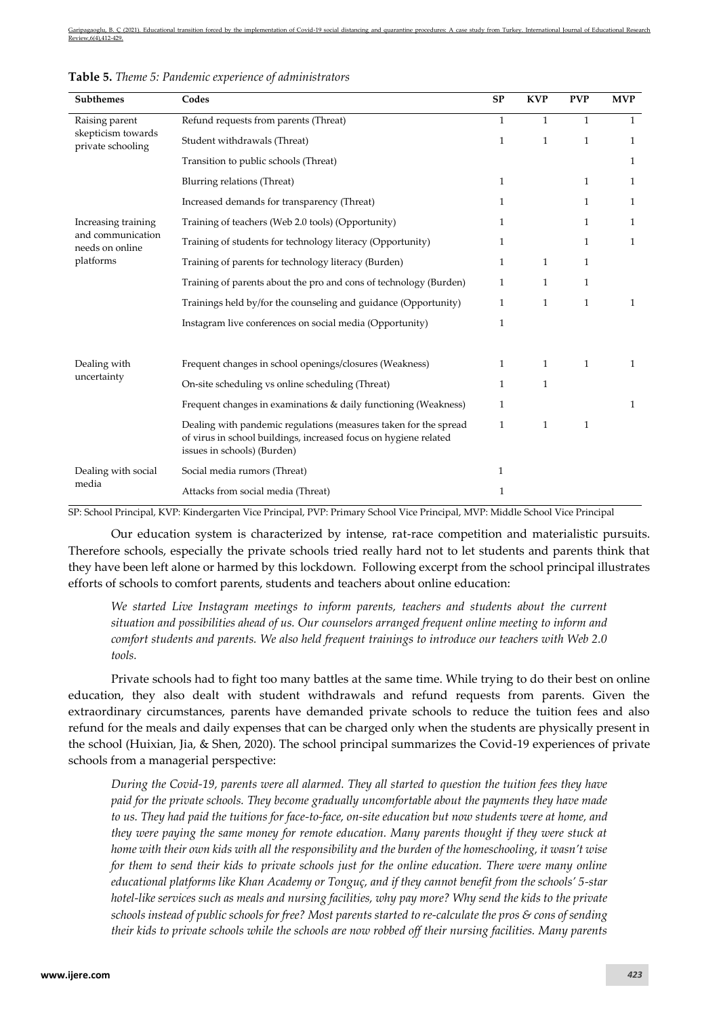| Subthemes                               | Codes                                                                                                                                                               | <b>SP</b>    | <b>KVP</b>   | <b>PVP</b>   | <b>MVP</b>   |
|-----------------------------------------|---------------------------------------------------------------------------------------------------------------------------------------------------------------------|--------------|--------------|--------------|--------------|
| Raising parent                          | Refund requests from parents (Threat)                                                                                                                               | $\mathbf{1}$ | $\mathbf{1}$ | $\mathbf{1}$ | $\mathbf{1}$ |
| skepticism towards<br>private schooling | Student withdrawals (Threat)                                                                                                                                        | $\mathbf{1}$ | $\mathbf{1}$ | $\mathbf{1}$ | $\mathbf{1}$ |
|                                         | Transition to public schools (Threat)                                                                                                                               |              |              |              | $\mathbf{1}$ |
|                                         | Blurring relations (Threat)                                                                                                                                         | 1            |              | $\mathbf{1}$ | 1            |
|                                         | Increased demands for transparency (Threat)                                                                                                                         | 1            |              | $\mathbf{1}$ | $\mathbf{1}$ |
| Increasing training                     | Training of teachers (Web 2.0 tools) (Opportunity)                                                                                                                  | 1            |              | $\mathbf{1}$ | $\mathbf{1}$ |
| and communication<br>needs on online    | Training of students for technology literacy (Opportunity)                                                                                                          | $\mathbf{1}$ |              | $\mathbf{1}$ | $\mathbf{1}$ |
| platforms                               | Training of parents for technology literacy (Burden)                                                                                                                | $\mathbf{1}$ | 1            | $\mathbf{1}$ |              |
|                                         | Training of parents about the pro and cons of technology (Burden)                                                                                                   | $\mathbf{1}$ | 1            | $\mathbf{1}$ |              |
|                                         | Trainings held by/for the counseling and guidance (Opportunity)                                                                                                     | $\mathbf{1}$ | $\mathbf{1}$ | $\mathbf{1}$ | $\mathbf{1}$ |
|                                         | Instagram live conferences on social media (Opportunity)                                                                                                            | 1            |              |              |              |
|                                         |                                                                                                                                                                     |              |              |              |              |
| Dealing with                            | Frequent changes in school openings/closures (Weakness)                                                                                                             | $\mathbf{1}$ | $\mathbf{1}$ | $\mathbf{1}$ | $\mathbf{1}$ |
| uncertainty                             | On-site scheduling vs online scheduling (Threat)                                                                                                                    | $\mathbf{1}$ | $\mathbf{1}$ |              |              |
|                                         | Frequent changes in examinations & daily functioning (Weakness)                                                                                                     | $\mathbf{1}$ |              |              | $\mathbf{1}$ |
|                                         | Dealing with pandemic regulations (measures taken for the spread<br>of virus in school buildings, increased focus on hygiene related<br>issues in schools) (Burden) | $\mathbf{1}$ | $\mathbf{1}$ | $\mathbf{1}$ |              |
| Dealing with social                     | Social media rumors (Threat)                                                                                                                                        | 1            |              |              |              |
| media                                   | Attacks from social media (Threat)                                                                                                                                  | $\mathbf{1}$ |              |              |              |

|  |  |  |  |  | Table 5. Theme 5: Pandemic experience of administrators |
|--|--|--|--|--|---------------------------------------------------------|
|--|--|--|--|--|---------------------------------------------------------|

SP: School Principal, KVP: Kindergarten Vice Principal, PVP: Primary School Vice Principal, MVP: Middle School Vice Principal

Our education system is characterized by intense, rat-race competition and materialistic pursuits. Therefore schools, especially the private schools tried really hard not to let students and parents think that they have been left alone or harmed by this lockdown. Following excerpt from the school principal illustrates efforts of schools to comfort parents, students and teachers about online education:

*We started Live Instagram meetings to inform parents, teachers and students about the current situation and possibilities ahead of us. Our counselors arranged frequent online meeting to inform and comfort students and parents. We also held frequent trainings to introduce our teachers with Web 2.0 tools.*

Private schools had to fight too many battles at the same time. While trying to do their best on online education, they also dealt with student withdrawals and refund requests from parents. Given the extraordinary circumstances, parents have demanded private schools to reduce the tuition fees and also refund for the meals and daily expenses that can be charged only when the students are physically present in the school (Huixian, Jia, & Shen, 2020). The school principal summarizes the Covid-19 experiences of private schools from a managerial perspective:

*During the Covid-19, parents were all alarmed. They all started to question the tuition fees they have paid for the private schools. They become gradually uncomfortable about the payments they have made to us. They had paid the tuitions for face-to-face, on-site education but now students were at home, and they were paying the same money for remote education. Many parents thought if they were stuck at home with their own kids with all the responsibility and the burden of the homeschooling, it wasn't wise for them to send their kids to private schools just for the online education. There were many online educational platforms like Khan Academy or Tonguç, and if they cannot benefit from the schools' 5-star hotel-like services such as meals and nursing facilities, why pay more? Why send the kids to the private schools instead of public schools for free? Most parents started to re-calculate the pros & cons of sending their kids to private schools while the schools are now robbed off their nursing facilities. Many parents*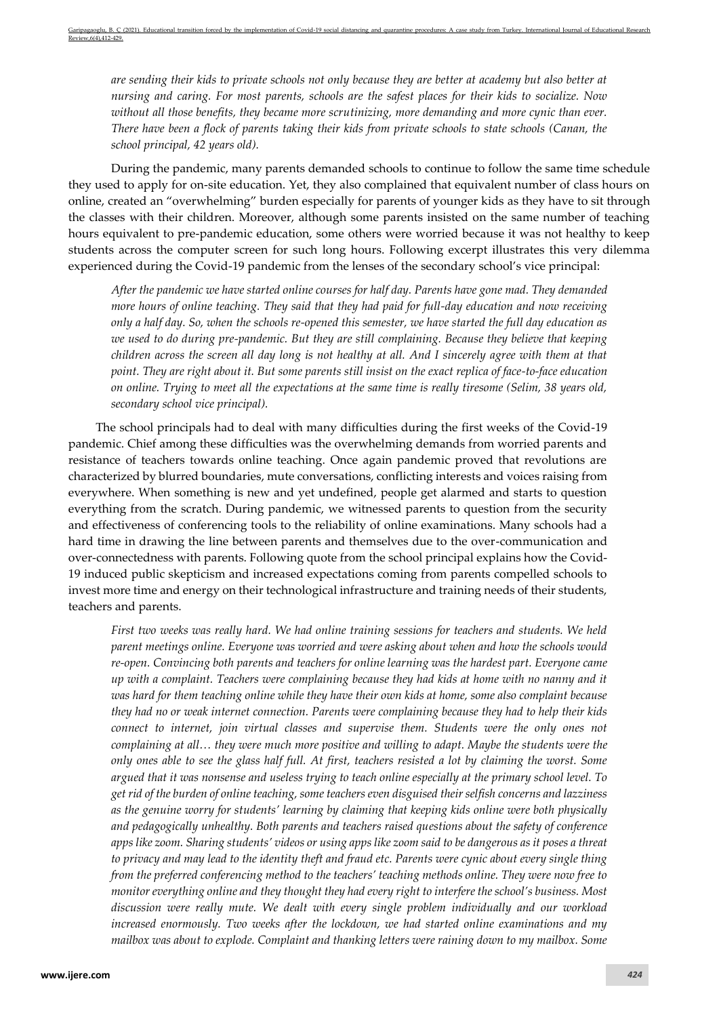*are sending their kids to private schools not only because they are better at academy but also better at nursing and caring. For most parents, schools are the safest places for their kids to socialize. Now without all those benefits, they became more scrutinizing, more demanding and more cynic than ever. There have been a flock of parents taking their kids from private schools to state schools (Canan, the school principal, 42 years old).*

During the pandemic, many parents demanded schools to continue to follow the same time schedule they used to apply for on-site education. Yet, they also complained that equivalent number of class hours on online, created an "overwhelming" burden especially for parents of younger kids as they have to sit through the classes with their children. Moreover, although some parents insisted on the same number of teaching hours equivalent to pre-pandemic education, some others were worried because it was not healthy to keep students across the computer screen for such long hours. Following excerpt illustrates this very dilemma experienced during the Covid-19 pandemic from the lenses of the secondary school's vice principal:

*After the pandemic we have started online courses for half day. Parents have gone mad. They demanded more hours of online teaching. They said that they had paid for full-day education and now receiving only a half day. So, when the schools re-opened this semester, we have started the full day education as we used to do during pre-pandemic. But they are still complaining. Because they believe that keeping children across the screen all day long is not healthy at all. And I sincerely agree with them at that point. They are right about it. But some parents still insist on the exact replica of face-to-face education on online. Trying to meet all the expectations at the same time is really tiresome (Selim, 38 years old, secondary school vice principal).*

The school principals had to deal with many difficulties during the first weeks of the Covid-19 pandemic. Chief among these difficulties was the overwhelming demands from worried parents and resistance of teachers towards online teaching. Once again pandemic proved that revolutions are characterized by blurred boundaries, mute conversations, conflicting interests and voices raising from everywhere. When something is new and yet undefined, people get alarmed and starts to question everything from the scratch. During pandemic, we witnessed parents to question from the security and effectiveness of conferencing tools to the reliability of online examinations. Many schools had a hard time in drawing the line between parents and themselves due to the over-communication and over-connectedness with parents. Following quote from the school principal explains how the Covid-19 induced public skepticism and increased expectations coming from parents compelled schools to invest more time and energy on their technological infrastructure and training needs of their students, teachers and parents.

*First two weeks was really hard. We had online training sessions for teachers and students. We held parent meetings online. Everyone was worried and were asking about when and how the schools would re-open. Convincing both parents and teachers for online learning was the hardest part. Everyone came up with a complaint. Teachers were complaining because they had kids at home with no nanny and it was hard for them teaching online while they have their own kids at home, some also complaint because they had no or weak internet connection. Parents were complaining because they had to help their kids connect to internet, join virtual classes and supervise them. Students were the only ones not complaining at all… they were much more positive and willing to adapt. Maybe the students were the only ones able to see the glass half full. At first, teachers resisted a lot by claiming the worst. Some argued that it was nonsense and useless trying to teach online especially at the primary school level. To get rid of the burden of online teaching, some teachers even disguised their selfish concerns and lazziness as the genuine worry for students' learning by claiming that keeping kids online were both physically and pedagogically unhealthy. Both parents and teachers raised questions about the safety of conference apps like zoom. Sharing students' videos or using apps like zoom said to be dangerous as it poses a threat to privacy and may lead to the identity theft and fraud etc. Parents were cynic about every single thing from the preferred conferencing method to the teachers' teaching methods online. They were now free to monitor everything online and they thought they had every right to interfere the school's business. Most discussion were really mute. We dealt with every single problem individually and our workload increased enormously. Two weeks after the lockdown, we had started online examinations and my mailbox was about to explode. Complaint and thanking letters were raining down to my mailbox. Some*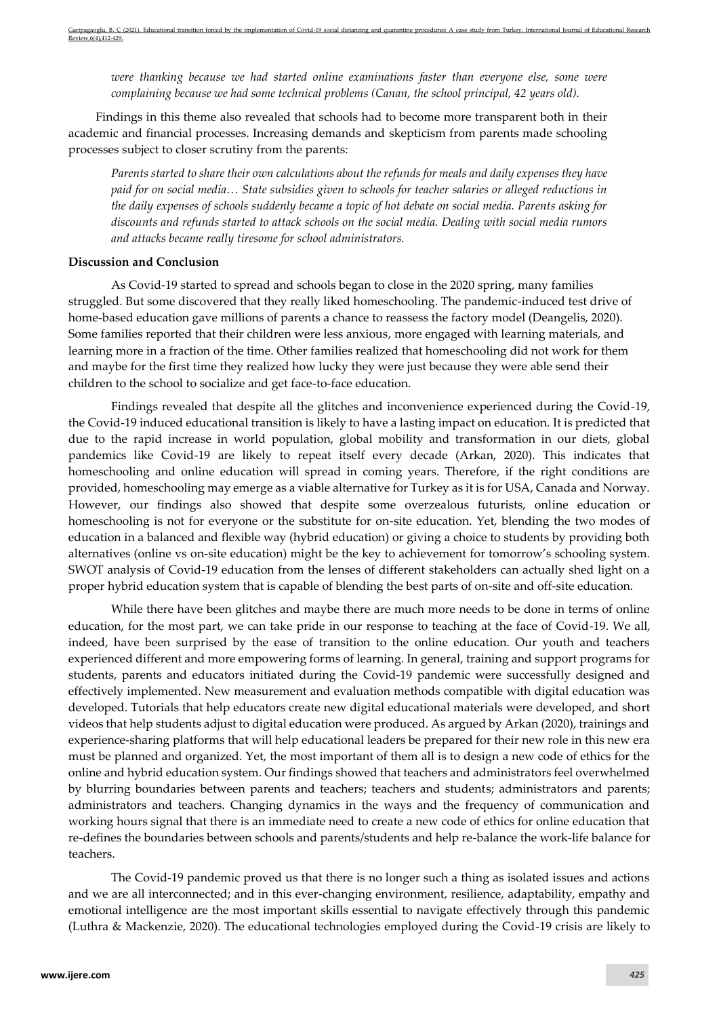*were thanking because we had started online examinations faster than everyone else, some were complaining because we had some technical problems (Canan, the school principal, 42 years old).*

Findings in this theme also revealed that schools had to become more transparent both in their academic and financial processes. Increasing demands and skepticism from parents made schooling processes subject to closer scrutiny from the parents:

*Parents started to share their own calculations about the refunds for meals and daily expenses they have paid for on social media… State subsidies given to schools for teacher salaries or alleged reductions in the daily expenses of schools suddenly became a topic of hot debate on social media. Parents asking for discounts and refunds started to attack schools on the social media. Dealing with social media rumors and attacks became really tiresome for school administrators.* 

#### **Discussion and Conclusion**

As Covid-19 started to spread and schools began to close in the 2020 spring, many families struggled. But some discovered that they really liked homeschooling. The pandemic-induced test drive of home-based education gave millions of parents a chance to reassess the factory model (Deangelis, 2020). Some families reported that their children were less anxious, more engaged with learning materials, and learning more in a fraction of the time. Other families realized that homeschooling did not work for them and maybe for the first time they realized how lucky they were just because they were able send their children to the school to socialize and get face-to-face education.

Findings revealed that despite all the glitches and inconvenience experienced during the Covid-19, the Covid-19 induced educational transition is likely to have a lasting impact on education. It is predicted that due to the rapid increase in world population, global mobility and transformation in our diets, global pandemics like Covid-19 are likely to repeat itself every decade (Arkan, 2020). This indicates that homeschooling and online education will spread in coming years. Therefore, if the right conditions are provided, homeschooling may emerge as a viable alternative for Turkey as it is for USA, Canada and Norway. However, our findings also showed that despite some overzealous futurists, online education or homeschooling is not for everyone or the substitute for on-site education. Yet, blending the two modes of education in a balanced and flexible way (hybrid education) or giving a choice to students by providing both alternatives (online vs on-site education) might be the key to achievement for tomorrow's schooling system. SWOT analysis of Covid-19 education from the lenses of different stakeholders can actually shed light on a proper hybrid education system that is capable of blending the best parts of on-site and off-site education.

While there have been glitches and maybe there are much more needs to be done in terms of online education, for the most part, we can take pride in our response to teaching at the face of Covid-19. We all, indeed, have been surprised by the ease of transition to the online education. Our youth and teachers experienced different and more empowering forms of learning. In general, training and support programs for students, parents and educators initiated during the Covid-19 pandemic were successfully designed and effectively implemented. New measurement and evaluation methods compatible with digital education was developed. Tutorials that help educators create new digital educational materials were developed, and short videos that help students adjust to digital education were produced. As argued by Arkan (2020), trainings and experience-sharing platforms that will help educational leaders be prepared for their new role in this new era must be planned and organized. Yet, the most important of them all is to design a new code of ethics for the online and hybrid education system. Our findings showed that teachers and administrators feel overwhelmed by blurring boundaries between parents and teachers; teachers and students; administrators and parents; administrators and teachers. Changing dynamics in the ways and the frequency of communication and working hours signal that there is an immediate need to create a new code of ethics for online education that re-defines the boundaries between schools and parents/students and help re-balance the work-life balance for teachers.

The Covid-19 pandemic proved us that there is no longer such a thing as isolated issues and actions and we are all interconnected; and in this ever-changing environment, resilience, adaptability, empathy and emotional intelligence are the most important skills essential to navigate effectively through this pandemic (Luthra & Mackenzie, 2020). The educational technologies employed during the Covid-19 crisis are likely to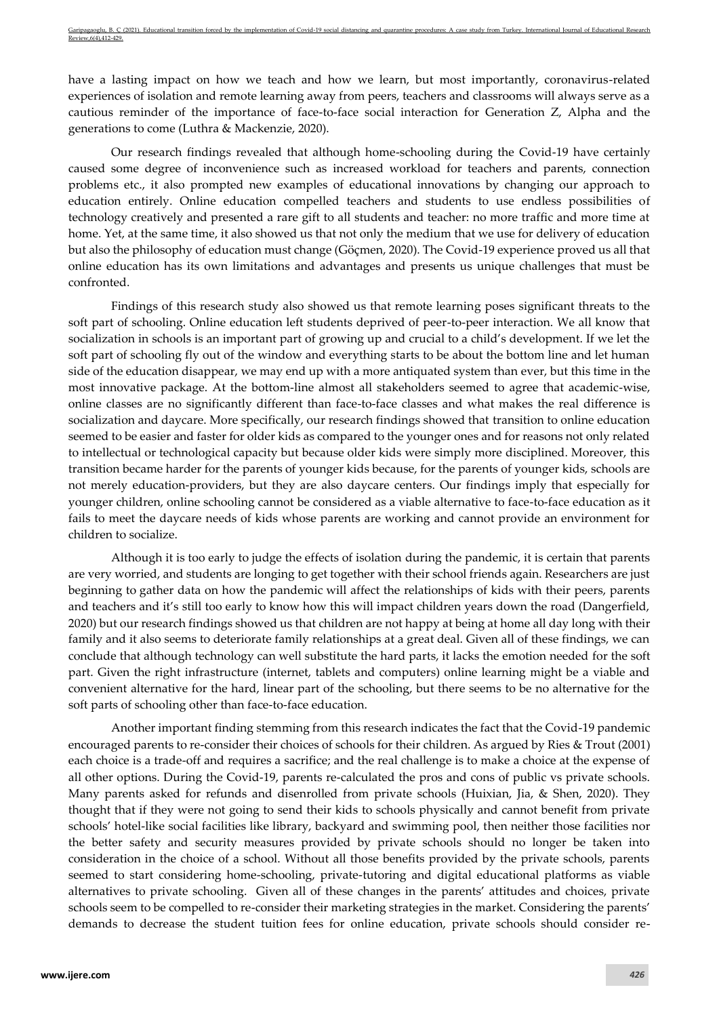have a lasting impact on how we teach and how we learn, but most importantly, coronavirus-related experiences of isolation and remote learning away from peers, teachers and classrooms will always serve as a cautious reminder of the importance of face-to-face social interaction for Generation Z, Alpha and the generations to come (Luthra & Mackenzie, 2020).

Our research findings revealed that although home-schooling during the Covid-19 have certainly caused some degree of inconvenience such as increased workload for teachers and parents, connection problems etc., it also prompted new examples of educational innovations by changing our approach to education entirely. Online education compelled teachers and students to use endless possibilities of technology creatively and presented a rare gift to all students and teacher: no more traffic and more time at home. Yet, at the same time, it also showed us that not only the medium that we use for delivery of education but also the philosophy of education must change (Göçmen, 2020). The Covid-19 experience proved us all that online education has its own limitations and advantages and presents us unique challenges that must be confronted.

Findings of this research study also showed us that remote learning poses significant threats to the soft part of schooling. Online education left students deprived of peer-to-peer interaction. We all know that socialization in schools is an important part of growing up and crucial to a child's development. If we let the soft part of schooling fly out of the window and everything starts to be about the bottom line and let human side of the education disappear, we may end up with a more antiquated system than ever, but this time in the most innovative package. At the bottom-line almost all stakeholders seemed to agree that academic-wise, online classes are no significantly different than face-to-face classes and what makes the real difference is socialization and daycare. More specifically, our research findings showed that transition to online education seemed to be easier and faster for older kids as compared to the younger ones and for reasons not only related to intellectual or technological capacity but because older kids were simply more disciplined. Moreover, this transition became harder for the parents of younger kids because, for the parents of younger kids, schools are not merely education-providers, but they are also daycare centers. Our findings imply that especially for younger children, online schooling cannot be considered as a viable alternative to face-to-face education as it fails to meet the daycare needs of kids whose parents are working and cannot provide an environment for children to socialize.

Although it is too early to judge the effects of isolation during the pandemic, it is certain that parents are very worried, and students are longing to get together with their school friends again. Researchers are just beginning to [gather data on how the pandemic](https://www.umdrubinlab.com/covid-19-project.html) will affect the relationships of kids with their peers, parents and teachers and it's still too early to know how this will impact children years down the road (Dangerfield, 2020) but our research findings showed us that children are not happy at being at home all day long with their family and it also seems to deteriorate family relationships at a great deal. Given all of these findings, we can conclude that although technology can well substitute the hard parts, it lacks the emotion needed for the soft part. Given the right infrastructure (internet, tablets and computers) online learning might be a viable and convenient alternative for the hard, linear part of the schooling, but there seems to be no alternative for the soft parts of schooling other than face-to-face education.

Another important finding stemming from this research indicates the fact that the Covid-19 pandemic encouraged parents to re-consider their choices of schools for their children. As argued by Ries & Trout (2001) each choice is a trade-off and requires a sacrifice; and the real challenge is to make a choice at the expense of all other options. During the Covid-19, parents re-calculated the pros and cons of public vs private schools. Many parents asked for refunds and disenrolled from private schools (Huixian, Jia, & Shen, 2020). They thought that if they were not going to send their kids to schools physically and cannot benefit from private schools' hotel-like social facilities like library, backyard and swimming pool, then neither those facilities nor the better safety and security measures provided by private schools should no longer be taken into consideration in the choice of a school. Without all those benefits provided by the private schools, parents seemed to start considering home-schooling, private-tutoring and digital educational platforms as viable alternatives to private schooling. Given all of these changes in the parents' attitudes and choices, private schools seem to be compelled to re-consider their marketing strategies in the market. Considering the parents' demands to decrease the student tuition fees for online education, private schools should consider re-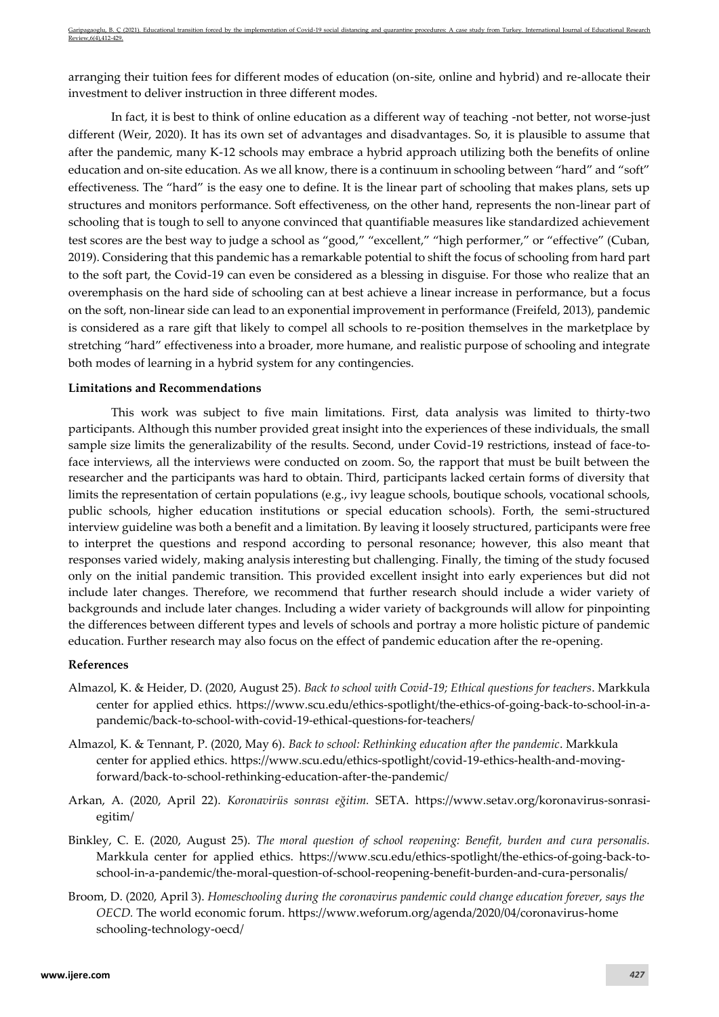arranging their tuition fees for different modes of education (on-site, online and hybrid) and re-allocate their investment to deliver instruction in three different modes.

In fact, it is best to think of online education as a different way of teaching -not better, not worse-just different (Weir, 2020). It has its own set of advantages and disadvantages. So, it is plausible to assume that after the pandemic, many K-12 schools may embrace a hybrid approach utilizing both the benefits of online education and on-site education. As we all know, there is a continuum in schooling between "hard" and "soft" effectiveness. The "hard" is the easy one to define. It is the linear part of schooling that makes plans, sets up structures and monitors performance. Soft effectiveness, on the other hand, represents the non-linear part of schooling that is tough to sell to anyone convinced that quantifiable measures like standardized achievement test scores are the best way to judge a school as "good," "excellent," "high performer," or "effective" (Cuban, 2019). Considering that this pandemic has a remarkable potential to shift the focus of schooling from hard part to the soft part, the Covid-19 can even be considered as a blessing in disguise. For those who realize that an overemphasis on the hard side of schooling can at best achieve a linear increase in performance, but a focus on the soft, non-linear side can lead to an exponential improvement in performance (Freifeld, 2013), pandemic is considered as a rare gift that likely to compel all schools to re-position themselves in the marketplace by stretching "hard" effectiveness into a broader, more humane, and realistic purpose of schooling and integrate both modes of learning in a hybrid system for any contingencies.

#### **Limitations and Recommendations**

This work was subject to five main limitations. First, data analysis was limited to thirty-two participants. Although this number provided great insight into the experiences of these individuals, the small sample size limits the generalizability of the results. Second, under Covid-19 restrictions, instead of face-toface interviews, all the interviews were conducted on zoom. So, the rapport that must be built between the researcher and the participants was hard to obtain. Third, participants lacked certain forms of diversity that limits the representation of certain populations (e.g., ivy league schools, boutique schools, vocational schools, public schools, higher education institutions or special education schools). Forth, the semi-structured interview guideline was both a benefit and a limitation. By leaving it loosely structured, participants were free to interpret the questions and respond according to personal resonance; however, this also meant that responses varied widely, making analysis interesting but challenging. Finally, the timing of the study focused only on the initial pandemic transition. This provided excellent insight into early experiences but did not include later changes. Therefore, we recommend that further research should include a wider variety of backgrounds and include later changes. Including a wider variety of backgrounds will allow for pinpointing the differences between different types and levels of schools and portray a more holistic picture of pandemic education. Further research may also focus on the effect of pandemic education after the re-opening.

#### **References**

- Almazol, K. & Heider, D. (2020, August 25). *Back to school with Covid-19; Ethical questions for teachers*. Markkula center for applied ethics. [https://www.scu.edu/ethics-spotlight/the-ethics-of-going-back-to-school-in-a](https://www.scu.edu/ethics-spotlight/the-ethics-of-going-back-to-school-in-a-pandemic/back-to-school-with-covid-19-ethical-questions-for-teachers/)[pandemic/back-to-school-with-covid-19-ethical-questions-for-teachers/](https://www.scu.edu/ethics-spotlight/the-ethics-of-going-back-to-school-in-a-pandemic/back-to-school-with-covid-19-ethical-questions-for-teachers/)
- Almazol, K. & Tennant, P. (2020, May 6). *Back to school: Rethinking education after the pandemic*. Markkula center for applied ethics. [https://www.scu.edu/ethics-spotlight/covid-19-ethics-health-and-moving](https://www.scu.edu/ethics-spotlight/covid-19-ethics-health-and-moving-forward/back-to-school-rethinking-education-after-the-pandemic/)[forward/back-to-school-rethinking-education-after-the-pandemic/](https://www.scu.edu/ethics-spotlight/covid-19-ethics-health-and-moving-forward/back-to-school-rethinking-education-after-the-pandemic/)
- Arkan, A. (2020, April 22). *Koronavirüs sonrası eğitim.* SETA. [https://www.setav.org/koronavirus-sonrasi](https://www.setav.org/koronavirus-sonrasi-egitim/)[egitim/](https://www.setav.org/koronavirus-sonrasi-egitim/)
- Binkley, C. E. (2020, August 25). *The moral question of school reopening: Benefit, burden and cura personalis.* Markkula center for applied ethics. [https://www.scu.edu/ethics-spotlight/the-ethics-of-going-back-to](https://www.scu.edu/ethics-spotlight/the-ethics-of-going-back-to-school-in-a-pandemic/the-moral-question-of-school-reopening-benefit-burden-and-cura-personalis/)[school-in-a-pandemic/the-moral-question-of-school-reopening-benefit-burden-and-cura-personalis/](https://www.scu.edu/ethics-spotlight/the-ethics-of-going-back-to-school-in-a-pandemic/the-moral-question-of-school-reopening-benefit-burden-and-cura-personalis/)
- Broom, D. (2020, April 3). *Homeschooling during the coronavirus pandemic could change education forever, says the OECD.* The world economic forum. [https://www.weforum.org/agenda/2020/04/coronavirus-home](https://www.weforum.org/agenda/2020/04/coronavirus-home%20schooling-technology-oecd/) [schooling-technology-oecd/](https://www.weforum.org/agenda/2020/04/coronavirus-home%20schooling-technology-oecd/)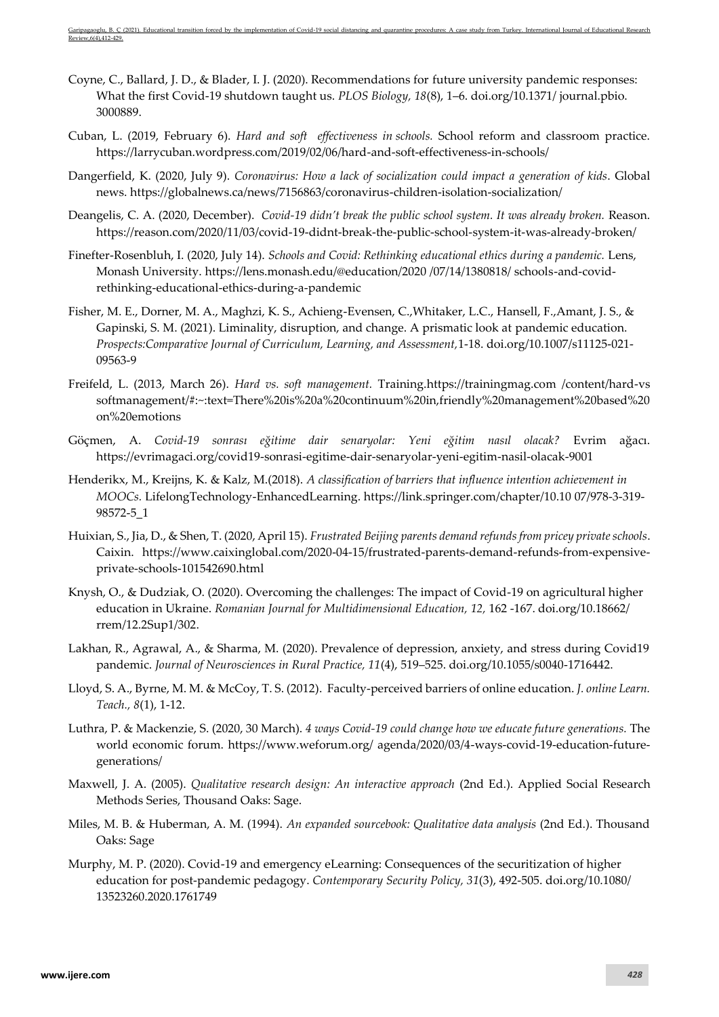- Coyne, C., Ballard, J. D., & Blader, I. J. (2020). Recommendations for future university pandemic responses: What the first Covid-19 shutdown taught us. *PLOS Biology, 18*(8), 1–6. doi.org/10.1371/ journal.pbio. 3000889.
- Cuban, L. (2019, February 6). *Hard and soft effectiveness in schools.* School reform and classroom practice. <https://larrycuban.wordpress.com/2019/02/06/hard-and-soft-effectiveness-in-schools/>
- Dangerfield, K. (2020, July 9). *Coronavirus: How a lack of socialization could impact a generation of kids*. Global news.<https://globalnews.ca/news/7156863/coronavirus-children-isolation-socialization/>
- Deangelis, C. A. (2020, December). *Covid-19 didn't break the public school system. It was already broken.* Reason. <https://reason.com/2020/11/03/covid-19-didnt-break-the-public-school-system-it-was-already-broken/>
- Finefter-Rosenbluh, I. (2020, July 14). *Schools and Covid: Rethinking educational ethics during a pandemic.* Lens, Monash University. [https://lens.monash.edu/@education/2020 /07/14/1380818/ schools-and-covid](https://lens.monash.edu/@education/2020%20/07/14/1380818/%20schools-and-covid-rethinking-educational-ethics-during-a-pandemic)[rethinking-educational-ethics-during-a-pandemic](https://lens.monash.edu/@education/2020%20/07/14/1380818/%20schools-and-covid-rethinking-educational-ethics-during-a-pandemic)
- Fisher, M. E., Dorner, M. A., Maghzi, K. S., Achieng-Evensen, C.,Whitaker, L.C., Hansell, F.,Amant, J. S., & Gapinski, S. M. (2021). Liminality, disruption, and change. A prismatic look at pandemic education. *Prospects:Comparative Journal of Curriculum, Learning, and Assessment,*1-18. [doi.org/10.1007/s11125-021-](https://doi.org/10.1007/s11125-021-09563-9) [09563-9](https://doi.org/10.1007/s11125-021-09563-9)
- Freifeld, L. (2013, March 26). *Hard vs. soft management.* Training.https://trainingmag.com /content/hard-vs softmanagement/#:~:text=There%20is%20a%20continuum%20in,friendly%20management%20based%20 on%20emotions
- Göçmen, A. *Covid-19 sonrası eğitime dair senaryolar: Yeni eğitim nasıl olacak?* Evrim ağacı. <https://evrimagaci.org/covid19-sonrasi-egitime-dair-senaryolar-yeni-egitim-nasil-olacak-9001>
- Henderikx, M., Kreijns, K. & Kalz, M.(2018). *A classification of barriers that influence intention achievement in MOOCs.* LifelongTechnology-EnhancedLearning. [https://link.springer.com/chapter/10.10](https://link.springer.com/chapter/10.10%2007/978-3-319-98572-5_1) 07/978-3-319- [98572-5\\_1](https://link.springer.com/chapter/10.10%2007/978-3-319-98572-5_1)
- Huixian, S., Jia, D., & Shen, T. (2020, April 15). *Frustrated Beijing parents demand refunds from pricey private schools*. Caixin. [https://www.caixinglobal.com/2020-04-15/frustrated-parents-demand-refunds-from-expensive](https://www.caixinglobal.com/2020-04-15/frustrated-parents-demand-refunds-from-expensive-private-schools-101542690.html)[private-schools-101542690.html](https://www.caixinglobal.com/2020-04-15/frustrated-parents-demand-refunds-from-expensive-private-schools-101542690.html)
- Knysh, O., & Dudziak, O. (2020). Overcoming the challenges: The impact of Covid-19 on agricultural higher education in Ukraine. *Romanian Journal for Multidimensional Education, 12,* 162 -167. [doi.org/10.18662/](https://doi.org/10.18662/rrem/12.2Sup1/302) [rrem/12.2Sup1/302.](https://doi.org/10.18662/rrem/12.2Sup1/302)
- Lakhan, R., Agrawal, A., & Sharma, M. (2020). Prevalence of depression, anxiety, and stress during Covid19 pandemic. *Journal of Neurosciences in Rural Practice, 11*(4), 519–525. doi.org/10.1055/s0040-1716442.
- Lloyd, S. A., Byrne, M. M. & McCoy, T. S. (2012). Faculty-perceived barriers of online education. *J. online Learn. Teach., 8*(1), 1-12.
- Luthra, P. & Mackenzie, S. (2020, 30 March). *4 ways Covid-19 could change how we educate future generations.* The world economic forum. [https://www.weforum.org/ agenda/2020/03/4-ways-covid-19-education-future](https://www.weforum.org/%20agenda/2020/03/4-ways-covid-19-education-future-generations/)[generations/](https://www.weforum.org/%20agenda/2020/03/4-ways-covid-19-education-future-generations/)
- Maxwell, J. A. (2005). *Qualitative research design: An interactive approach* (2nd Ed.). Applied Social Research Methods Series, Thousand Oaks: Sage.
- Miles, M. B. & Huberman, A. M. (1994). *An expanded sourcebook: Qualitative data analysis* (2nd Ed.). Thousand Oaks: Sage
- Murphy, M. P. (2020). Covid-19 and emergency eLearning: Consequences of the securitization of higher education for post-pandemic pedagogy. *Contemporary Security Policy, 31*(3), 492-505[. doi.org/10.1080/](https://doi.org/10.1080/13523260.2020.1761749) [13523260.2020.1761749](https://doi.org/10.1080/13523260.2020.1761749)